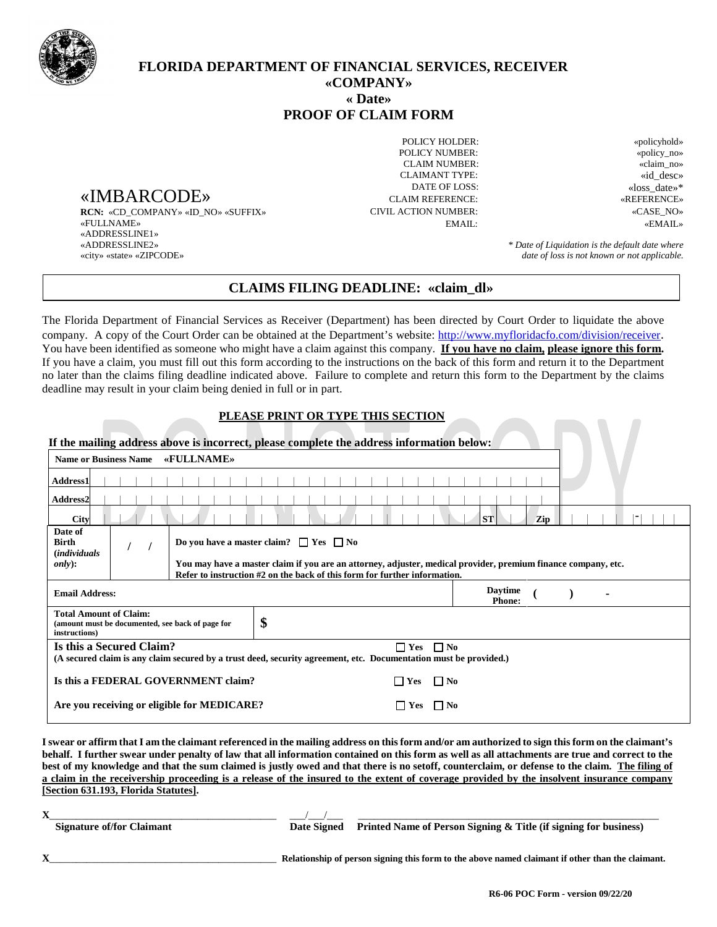

# **FLORIDA DEPARTMENT OF FINANCIAL SERVICES, RECEIVER «COMPANY» « Date» PROOF OF CLAIM FORM**

«IMBARCODE» **RCN:** «CD\_COMPANY» «ID\_NO» «SUFFIX»

«FULLNAME» «ADDRESSLINE1» «ADDRESSLINE2» «city» «state» «ZIPCODE»

POLICY NUMBER:<br>
CLAIM NUMBER:<br>
«claim\_no» «claim\_no» CLAIM NUMBER: CLAIMANT TYPE: «id\_desc» DATE OF LOSS: «loss\_date»\* CLAIM REFERENCE: «REFERENCE» CIVIL ACTION NUMBER:

POLICY HOLDER: «policyhold» EMAIL: «EMAIL»

> *\* Date of Liquidation is the default date where date of loss is not known or not applicable.*

> > $\sim$

 $\sqrt{2}$ 

# **CLAIMS FILING DEADLINE: «claim\_dl»**

The Florida Department of Financial Services as Receiver (Department) has been directed by Court Order to liquidate the above company. A copy of the Court Order can be obtained at the Department's website:<http://www.myfloridacfo.com/division/receiver>. You have been identified as someone who might have a claim against this company. **If you have no claim, please ignore this form.** If you have a claim, you must fill out this form according to the instructions on the back of this form and return it to the Department no later than the claims filing deadline indicated above. Failure to complete and return this form to the Department by the claims deadline may result in your claim being denied in full or in part.

#### **PLEASE PRINT OR TYPE THIS SECTION**

|                                                                                                    |                                                                                                                                                                                                                                                | If the mailing address above is incorrect, please complete the address information below:                        |  |  |  |  |                      |                                 |           |                |  |  |  |
|----------------------------------------------------------------------------------------------------|------------------------------------------------------------------------------------------------------------------------------------------------------------------------------------------------------------------------------------------------|------------------------------------------------------------------------------------------------------------------|--|--|--|--|----------------------|---------------------------------|-----------|----------------|--|--|--|
| Name or Business Name «FULLNAME»                                                                   |                                                                                                                                                                                                                                                |                                                                                                                  |  |  |  |  |                      |                                 |           |                |  |  |  |
| <b>Address1</b>                                                                                    |                                                                                                                                                                                                                                                |                                                                                                                  |  |  |  |  |                      |                                 |           |                |  |  |  |
| Address2                                                                                           |                                                                                                                                                                                                                                                |                                                                                                                  |  |  |  |  |                      |                                 |           |                |  |  |  |
| <b>City</b>                                                                                        |                                                                                                                                                                                                                                                |                                                                                                                  |  |  |  |  |                      |                                 | <b>ST</b> | Zip            |  |  |  |
| Date of<br><b>Birth</b><br><i>(individuals)</i><br>only):                                          | Do you have a master claim? $\Box$ Yes $\Box$ No<br>You may have a master claim if you are an attorney, adjuster, medical provider, premium finance company, etc.<br>Refer to instruction #2 on the back of this form for further information. |                                                                                                                  |  |  |  |  |                      |                                 |           |                |  |  |  |
| <b>Email Address:</b>                                                                              |                                                                                                                                                                                                                                                |                                                                                                                  |  |  |  |  |                      | <b>Daytime</b><br><b>Phone:</b> |           | $\blacksquare$ |  |  |  |
| <b>Total Amount of Claim:</b><br>(amount must be documented, see back of page for<br>instructions) | \$                                                                                                                                                                                                                                             |                                                                                                                  |  |  |  |  |                      |                                 |           |                |  |  |  |
| Is this a Secured Claim?                                                                           |                                                                                                                                                                                                                                                | (A secured claim is any claim secured by a trust deed, security agreement, etc. Documentation must be provided.) |  |  |  |  | $\Box$ Yes $\Box$ No |                                 |           |                |  |  |  |
| Is this a FEDERAL GOVERNMENT claim?<br>$\Box$ Yes                                                  |                                                                                                                                                                                                                                                |                                                                                                                  |  |  |  |  |                      | $\Box$ No                       |           |                |  |  |  |
| Are you receiving or eligible for MEDICARE?                                                        |                                                                                                                                                                                                                                                |                                                                                                                  |  |  |  |  | Yes                  | l No                            |           |                |  |  |  |

**I swear or affirm that I am the claimant referenced in the mailing address on this form and/or am authorized to sign this form on the claimant's behalf. I further swear under penalty of law that all information contained on this form as well as all attachments are true and correct to the best of my knowledge and that the sum claimed is justly owed and that there is no setoff, counterclaim, or defense to the claim. The filing of a claim in the receivership proceeding is a release of the insured to the extent of coverage provided by the insolvent insurance company [Section 631.193, Florida Statutes].**

**X**\_\_\_\_\_\_\_\_\_\_\_\_\_\_\_\_\_\_\_\_\_\_\_\_\_\_\_\_\_\_\_\_\_\_\_\_\_\_\_\_\_\_\_ \_\_\_/\_\_\_/\_\_\_ \_\_\_\_\_\_\_\_\_\_\_\_\_\_\_\_\_\_\_\_\_\_\_\_\_\_\_\_\_\_\_\_\_\_\_\_\_\_\_\_\_\_\_\_\_\_\_\_\_\_\_\_\_\_\_\_\_ **Signature of/for Claimant Date Signed Printed Name of Person Signing & Title (if signing for business)**

**X**\_\_\_\_\_\_\_\_\_\_\_\_\_\_\_\_\_\_\_\_\_\_\_\_\_\_\_\_\_\_\_\_\_\_\_\_\_\_\_\_\_\_\_ **Relationship of person signing this form to the above named claimant if other than the claimant.**